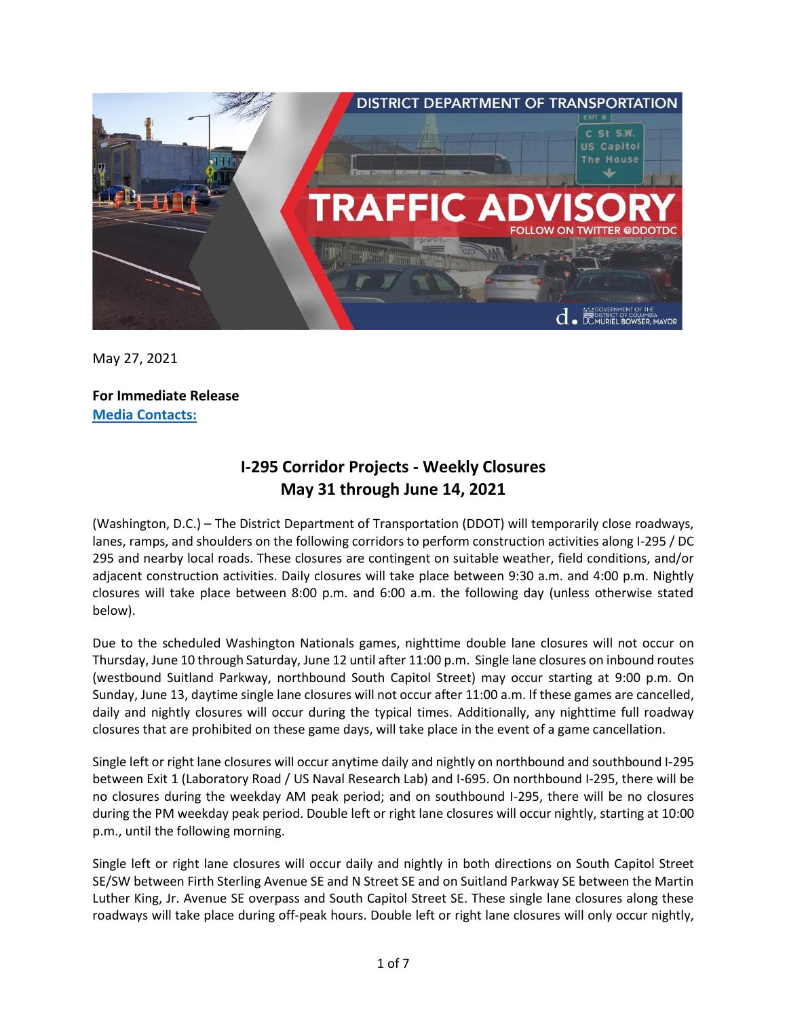

May 27, 2021

**For Immediate Release Media Contacts:**

# **I-295 Corridor Projects - Weekly Closures May 31 through June 14, 2021**

(Washington, D.C.) – The District Department of Transportation (DDOT) will temporarily close roadways, lanes, ramps, and shoulders on the following corridors to perform construction activities along I-295 / DC 295 and nearby local roads. These closures are contingent on suitable weather, field conditions, and/or adjacent construction activities. Daily closures will take place between 9:30 a.m. and 4:00 p.m. Nightly closures will take place between 8:00 p.m. and 6:00 a.m. the following day (unless otherwise stated below).

Due to the scheduled Washington Nationals games, nighttime double lane closures will not occur on Thursday, June 10 through Saturday, June 12 until after 11:00 p.m. Single lane closures on inbound routes (westbound Suitland Parkway, northbound South Capitol Street) may occur starting at 9:00 p.m. On Sunday, June 13, daytime single lane closures will not occur after 11:00 a.m. If these games are cancelled, daily and nightly closures will occur during the typical times. Additionally, any nighttime full roadway closures that are prohibited on these game days, will take place in the event of a game cancellation.

Single left or right lane closures will occur anytime daily and nightly on northbound and southbound I-295 between Exit 1 (Laboratory Road / US Naval Research Lab) and I-695. On northbound I-295, there will be no closures during the weekday AM peak period; and on southbound I-295, there will be no closures during the PM weekday peak period. Double left or right lane closures will occur nightly, starting at 10:00 p.m., until the following morning.

Single left or right lane closures will occur daily and nightly in both directions on South Capitol Street SE/SW between Firth Sterling Avenue SE and N Street SE and on Suitland Parkway SE between the Martin Luther King, Jr. Avenue SE overpass and South Capitol Street SE. These single lane closures along these roadways will take place during off-peak hours. Double left or right lane closures will only occur nightly,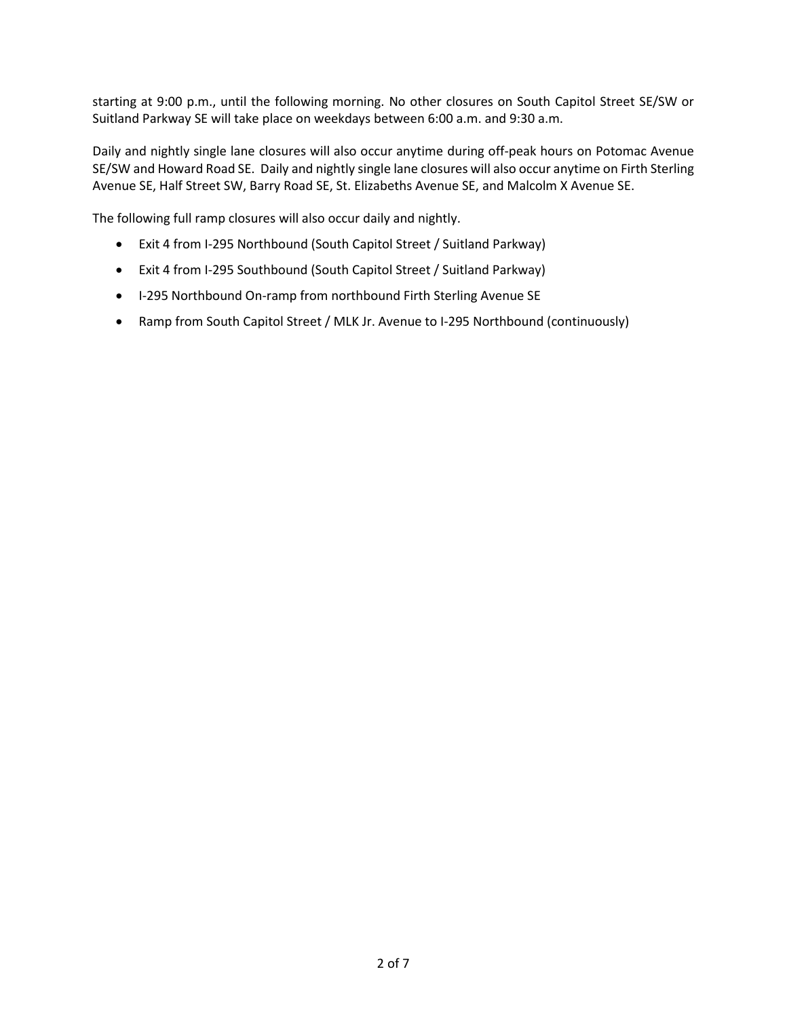starting at 9:00 p.m., until the following morning. No other closures on South Capitol Street SE/SW or Suitland Parkway SE will take place on weekdays between 6:00 a.m. and 9:30 a.m.

Daily and nightly single lane closures will also occur anytime during off-peak hours on Potomac Avenue SE/SW and Howard Road SE. Daily and nightly single lane closures will also occur anytime on Firth Sterling Avenue SE, Half Street SW, Barry Road SE, St. Elizabeths Avenue SE, and Malcolm X Avenue SE.

The following full ramp closures will also occur daily and nightly.

- Exit 4 from I-295 Northbound (South Capitol Street / Suitland Parkway)
- Exit 4 from I-295 Southbound (South Capitol Street / Suitland Parkway)
- I-295 Northbound On-ramp from northbound Firth Sterling Avenue SE
- Ramp from South Capitol Street / MLK Jr. Avenue to I-295 Northbound (continuously)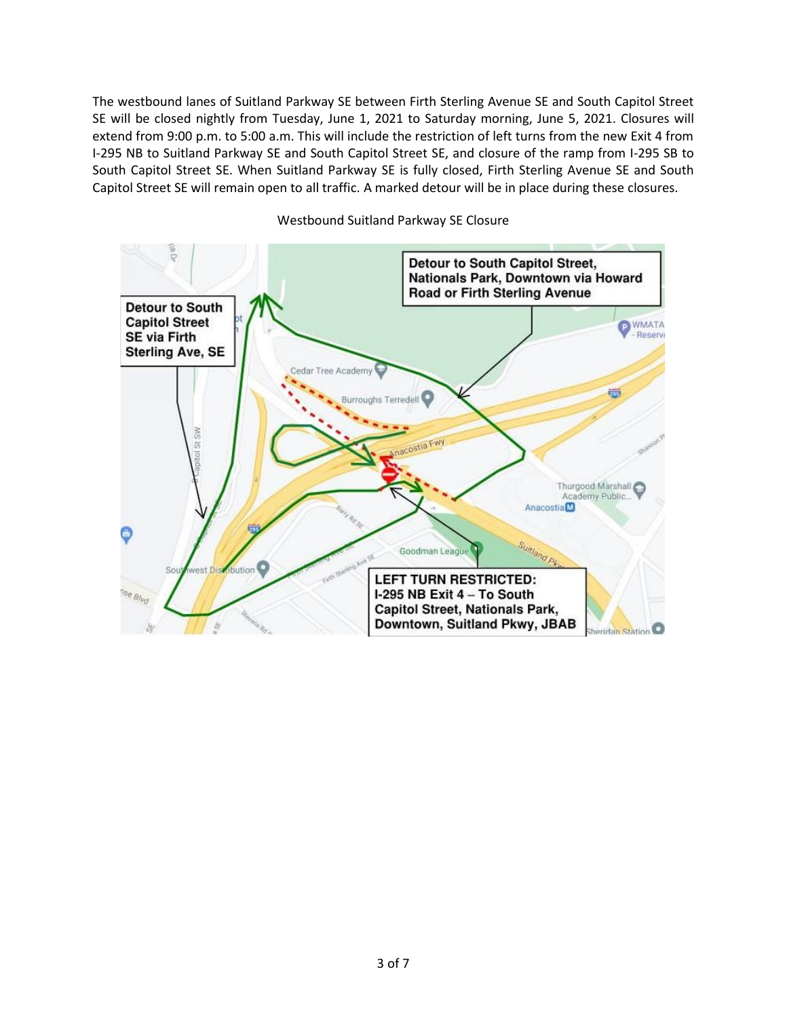The westbound lanes of Suitland Parkway SE between Firth Sterling Avenue SE and South Capitol Street SE will be closed nightly from Tuesday, June 1, 2021 to Saturday morning, June 5, 2021. Closures will extend from 9:00 p.m. to 5:00 a.m. This will include the restriction of left turns from the new Exit 4 from I-295 NB to Suitland Parkway SE and South Capitol Street SE, and closure of the ramp from I-295 SB to South Capitol Street SE. When Suitland Parkway SE is fully closed, Firth Sterling Avenue SE and South Capitol Street SE will remain open to all traffic. A marked detour will be in place during these closures.



Westbound Suitland Parkway SE Closure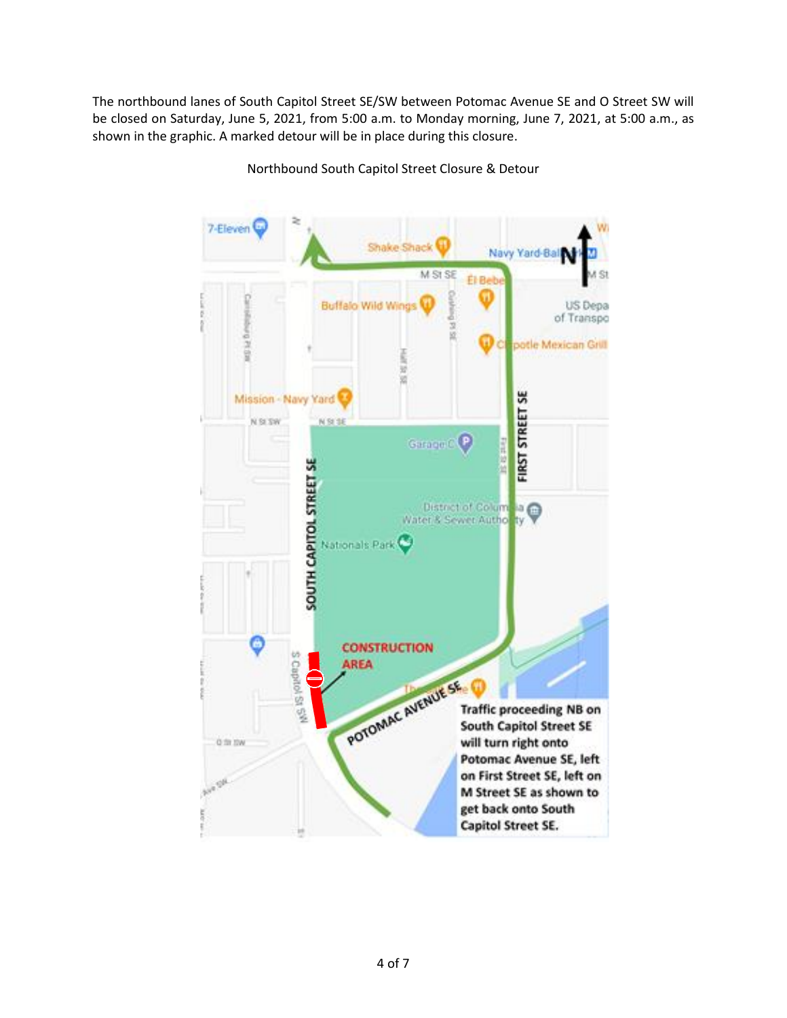The northbound lanes of South Capitol Street SE/SW between Potomac Avenue SE and O Street SW will be closed on Saturday, June 5, 2021, from 5:00 a.m. to Monday morning, June 7, 2021, at 5:00 a.m., as shown in the graphic. A marked detour will be in place during this closure.

> 7-Eleven Shake Shack Navy Yard-Bal M St SE S1 **El Belt Buffalo Wild Wind** US Depa of Transpo 1514 ä potle Mexican Grill š ü ü **FIRST STREET SE** Mission - Navy Yard N SI SW N St SE Garage C P **SOUTH CAPITOL STREET SE** District of Columnation Nationals Park **CONSTRUCTION** S Capitol St 5<sup>99</sup> **AREA** POTOMAC AVENUE SE **Traffic proceeding NB on South Capitol Street SE** will turn right onto O fit ISW Potomac Avenue SE, left on First Street SE, left on M Street SE as shown to get back onto South Capitol Street SE.

Northbound South Capitol Street Closure & Detour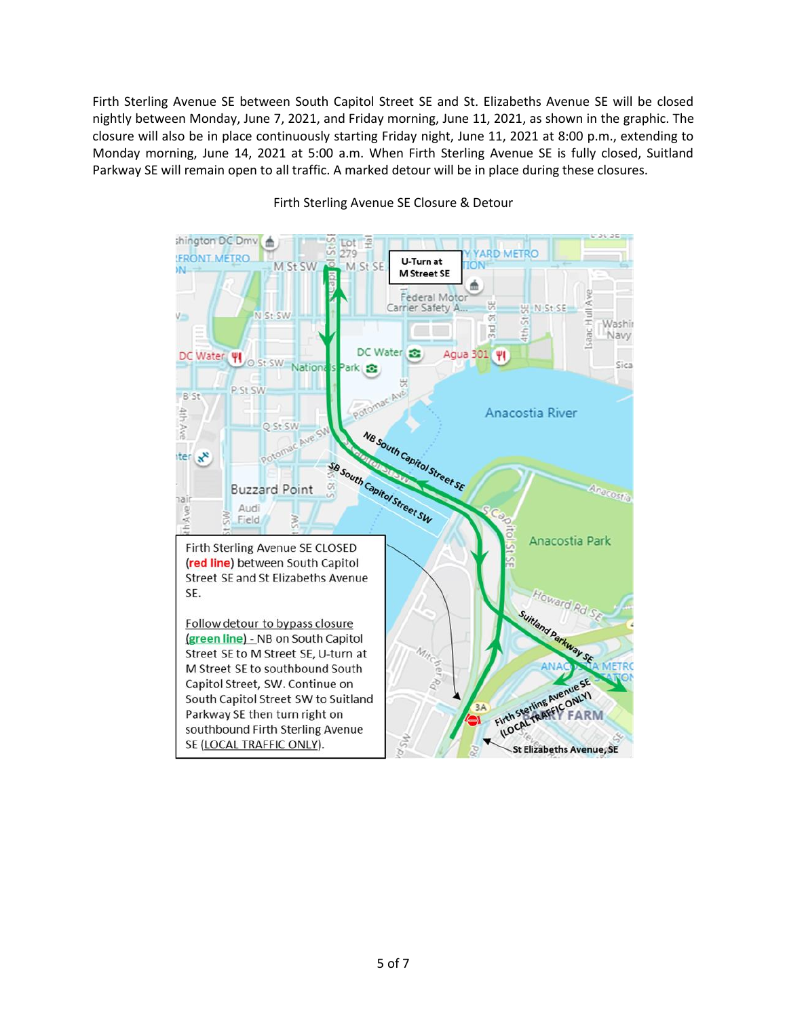Firth Sterling Avenue SE between South Capitol Street SE and St. Elizabeths Avenue SE will be closed nightly between Monday, June 7, 2021, and Friday morning, June 11, 2021, as shown in the graphic. The closure will also be in place continuously starting Friday night, June 11, 2021 at 8:00 p.m., extending to Monday morning, June 14, 2021 at 5:00 a.m. When Firth Sterling Avenue SE is fully closed, Suitland Parkway SE will remain open to all traffic. A marked detour will be in place during these closures.



#### Firth Sterling Avenue SE Closure & Detour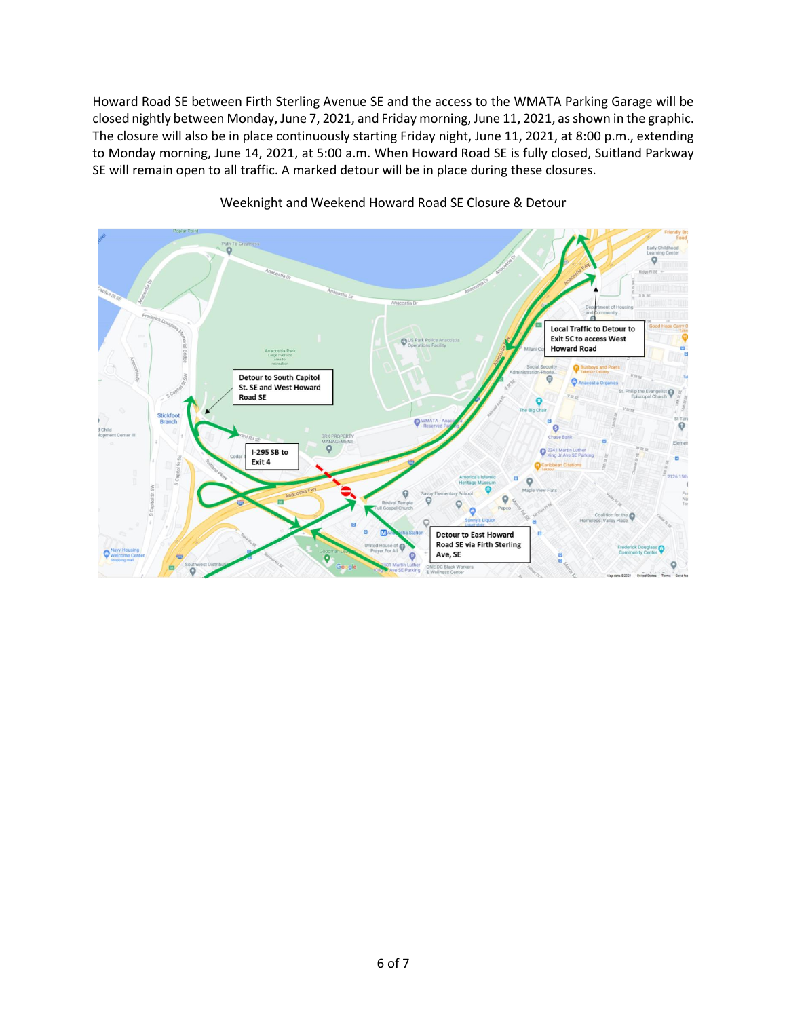Howard Road SE between Firth Sterling Avenue SE and the access to the WMATA Parking Garage will be closed nightly between Monday, June 7, 2021, and Friday morning, June 11, 2021, as shown in the graphic. The closure will also be in place continuously starting Friday night, June 11, 2021, at 8:00 p.m., extending to Monday morning, June 14, 2021, at 5:00 a.m. When Howard Road SE is fully closed, Suitland Parkway SE will remain open to all traffic. A marked detour will be in place during these closures.



# Weeknight and Weekend Howard Road SE Closure & Detour